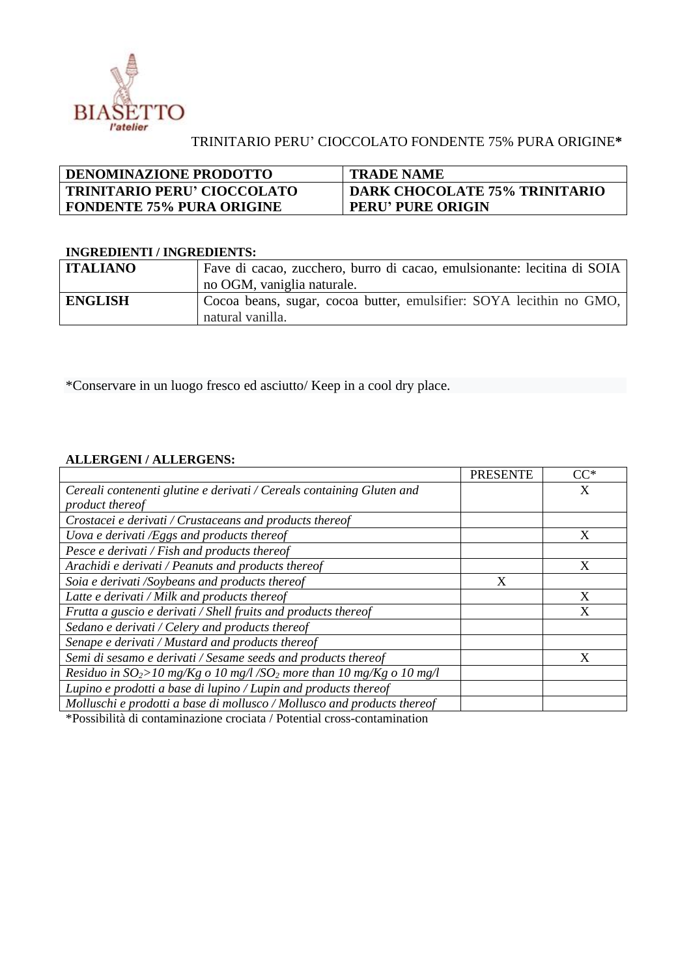

## TRINITARIO PERU' CIOCCOLATO FONDENTE 75% PURA ORIGINE**\***

| <b>DENOMINAZIONE PRODOTTO</b>      | <b>TRADE NAME</b>                    |
|------------------------------------|--------------------------------------|
| <b>TRINITARIO PERU' CIOCCOLATO</b> | <b>DARK CHOCOLATE 75% TRINITARIO</b> |
| <b>FONDENTE 75% PURA ORIGINE</b>   | <b>PERU' PURE ORIGIN</b>             |

## **INGREDIENTI / INGREDIENTS:**

| <b>ITALIANO</b> | Fave di cacao, zucchero, burro di cacao, emulsionante: lecitina di SOIA |
|-----------------|-------------------------------------------------------------------------|
|                 | no OGM, vaniglia naturale.                                              |
| <b>ENGLISH</b>  | Cocoa beans, sugar, cocoa butter, emulsifier: SOYA lecithin no GMO,     |
|                 | natural vanilla.                                                        |

\*Conservare in un luogo fresco ed asciutto/ Keep in a cool dry place.

## **ALLERGENI / ALLERGENS:**

|                                                                                                                                                                                                                             | <b>PRESENTE</b> | $CC^*$ |
|-----------------------------------------------------------------------------------------------------------------------------------------------------------------------------------------------------------------------------|-----------------|--------|
| Cereali contenenti glutine e derivati / Cereals containing Gluten and                                                                                                                                                       |                 | X      |
| product thereof                                                                                                                                                                                                             |                 |        |
| Crostacei e derivati / Crustaceans and products thereof                                                                                                                                                                     |                 |        |
| Uova e derivati /Eggs and products thereof                                                                                                                                                                                  |                 | X      |
| Pesce e derivati / Fish and products thereof                                                                                                                                                                                |                 |        |
| Arachidi e derivati / Peanuts and products thereof                                                                                                                                                                          |                 | X      |
| Soia e derivati /Soybeans and products thereof                                                                                                                                                                              | X               |        |
| Latte e derivati / Milk and products thereof                                                                                                                                                                                |                 | X      |
| Frutta a guscio e derivati / Shell fruits and products thereof                                                                                                                                                              |                 | X      |
| Sedano e derivati / Celery and products thereof                                                                                                                                                                             |                 |        |
| Senape e derivati / Mustard and products thereof                                                                                                                                                                            |                 |        |
| Semi di sesamo e derivati / Sesame seeds and products thereof                                                                                                                                                               |                 | X      |
| Residuo in $SO_2$ >10 mg/Kg o 10 mg/l/SO <sub>2</sub> more than 10 mg/Kg o 10 mg/l                                                                                                                                          |                 |        |
| Lupino e prodotti a base di lupino / Lupin and products thereof                                                                                                                                                             |                 |        |
| Molluschi e prodotti a base di mollusco / Mollusco and products thereof                                                                                                                                                     |                 |        |
| the contract of the contract of the contract of the contract of the contract of the contract of the contract of<br>$\bullet$ . The set of $\bullet$ is the set of $\bullet$ is the set of $\bullet$ is the set of $\bullet$ |                 |        |

\*Possibilità di contaminazione crociata / Potential cross-contamination